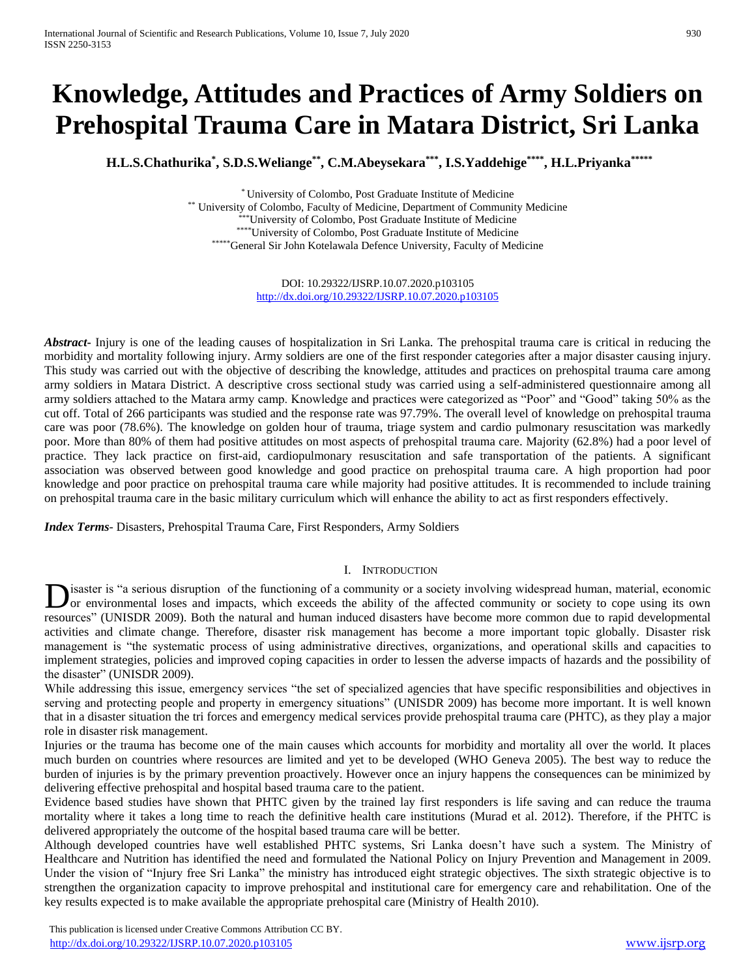# **Knowledge, Attitudes and Practices of Army Soldiers on Prehospital Trauma Care in Matara District, Sri Lanka**

**H.L.S.Chathurika\* , S.D.S.Weliange\*\* , C.M.Abeysekara\*\*\* , I.S.Yaddehige\*\*\*\* , H.L.Priyanka\*\*\*\*\***

\* University of Colombo, Post Graduate Institute of Medicine \*\* University of Colombo, Faculty of Medicine, Department of Community Medicine \*University of Colombo, Post Graduate Institute of Medicine \*\*\*\*University of Colombo, Post Graduate Institute of Medicine \*\*\*\*\*General Sir John Kotelawala Defence University, Faculty of Medicine

> DOI: 10.29322/IJSRP.10.07.2020.p103105 <http://dx.doi.org/10.29322/IJSRP.10.07.2020.p103105>

*Abstract***-** Injury is one of the leading causes of hospitalization in Sri Lanka. The prehospital trauma care is critical in reducing the morbidity and mortality following injury. Army soldiers are one of the first responder categories after a major disaster causing injury. This study was carried out with the objective of describing the knowledge, attitudes and practices on prehospital trauma care among army soldiers in Matara District. A descriptive cross sectional study was carried using a self-administered questionnaire among all army soldiers attached to the Matara army camp. Knowledge and practices were categorized as "Poor" and "Good" taking 50% as the cut off. Total of 266 participants was studied and the response rate was 97.79%. The overall level of knowledge on prehospital trauma care was poor (78.6%). The knowledge on golden hour of trauma, triage system and cardio pulmonary resuscitation was markedly poor. More than 80% of them had positive attitudes on most aspects of prehospital trauma care. Majority (62.8%) had a poor level of practice. They lack practice on first-aid, cardiopulmonary resuscitation and safe transportation of the patients. A significant association was observed between good knowledge and good practice on prehospital trauma care. A high proportion had poor knowledge and poor practice on prehospital trauma care while majority had positive attitudes. It is recommended to include training on prehospital trauma care in the basic military curriculum which will enhance the ability to act as first responders effectively.

*Index Terms*- Disasters, Prehospital Trauma Care, First Responders, Army Soldiers

## I. INTRODUCTION

isaster is "a serious disruption of the functioning of a community or a society involving widespread human, material, economic or environmental loses and impacts, which exceeds the ability of the affected community or society to cope using its own **D**isaster is "a serious disruption of the functioning of a community or a society involving widespread human, material, economic or environmental loses and impacts, which exceeds the ability of the affected community or s activities and climate change. Therefore, disaster risk management has become a more important topic globally. Disaster risk management is "the systematic process of using administrative directives, organizations, and operational skills and capacities to implement strategies, policies and improved coping capacities in order to lessen the adverse impacts of hazards and the possibility of the disaster" (UNISDR 2009).

While addressing this issue, emergency services "the set of specialized agencies that have specific responsibilities and objectives in serving and protecting people and property in emergency situations" (UNISDR 2009) has become more important. It is well known that in a disaster situation the tri forces and emergency medical services provide prehospital trauma care (PHTC), as they play a major role in disaster risk management.

Injuries or the trauma has become one of the main causes which accounts for morbidity and mortality all over the world. It places much burden on countries where resources are limited and yet to be developed (WHO Geneva 2005). The best way to reduce the burden of injuries is by the primary prevention proactively. However once an injury happens the consequences can be minimized by delivering effective prehospital and hospital based trauma care to the patient.

Evidence based studies have shown that PHTC given by the trained lay first responders is life saving and can reduce the trauma mortality where it takes a long time to reach the definitive health care institutions (Murad et al. 2012). Therefore, if the PHTC is delivered appropriately the outcome of the hospital based trauma care will be better.

Although developed countries have well established PHTC systems, Sri Lanka doesn't have such a system. The Ministry of Healthcare and Nutrition has identified the need and formulated the National Policy on Injury Prevention and Management in 2009. Under the vision of "Injury free Sri Lanka" the ministry has introduced eight strategic objectives. The sixth strategic objective is to strengthen the organization capacity to improve prehospital and institutional care for emergency care and rehabilitation. One of the key results expected is to make available the appropriate prehospital care (Ministry of Health 2010).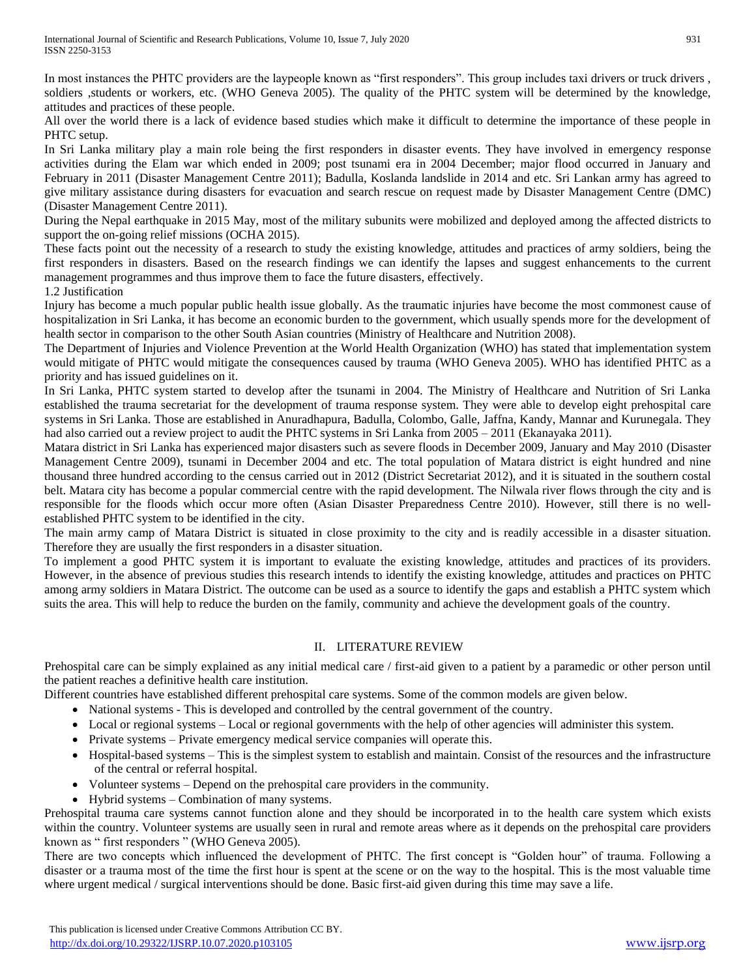In most instances the PHTC providers are the laypeople known as "first responders". This group includes taxi drivers or truck drivers, soldiers ,students or workers, etc. (WHO Geneva 2005). The quality of the PHTC system will be determined by the knowledge, attitudes and practices of these people.

All over the world there is a lack of evidence based studies which make it difficult to determine the importance of these people in PHTC setup.

In Sri Lanka military play a main role being the first responders in disaster events. They have involved in emergency response activities during the Elam war which ended in 2009; post tsunami era in 2004 December; major flood occurred in January and February in 2011 (Disaster Management Centre 2011); Badulla, Koslanda landslide in 2014 and etc. Sri Lankan army has agreed to give military assistance during disasters for evacuation and search rescue on request made by Disaster Management Centre (DMC) (Disaster Management Centre 2011).

During the Nepal earthquake in 2015 May, most of the military subunits were mobilized and deployed among the affected districts to support the on-going relief missions (OCHA 2015).

These facts point out the necessity of a research to study the existing knowledge, attitudes and practices of army soldiers, being the first responders in disasters. Based on the research findings we can identify the lapses and suggest enhancements to the current management programmes and thus improve them to face the future disasters, effectively.

## 1.2 Justification

Injury has become a much popular public health issue globally. As the traumatic injuries have become the most commonest cause of hospitalization in Sri Lanka, it has become an economic burden to the government, which usually spends more for the development of health sector in comparison to the other South Asian countries (Ministry of Healthcare and Nutrition 2008).

The Department of Injuries and Violence Prevention at the World Health Organization (WHO) has stated that implementation system would mitigate of PHTC would mitigate the consequences caused by trauma (WHO Geneva 2005). WHO has identified PHTC as a priority and has issued guidelines on it.

In Sri Lanka, PHTC system started to develop after the tsunami in 2004. The Ministry of Healthcare and Nutrition of Sri Lanka established the trauma secretariat for the development of trauma response system. They were able to develop eight prehospital care systems in Sri Lanka. Those are established in Anuradhapura, Badulla, Colombo, Galle, Jaffna, Kandy, Mannar and Kurunegala. They had also carried out a review project to audit the PHTC systems in Sri Lanka from 2005 – 2011 (Ekanayaka 2011).

Matara district in Sri Lanka has experienced major disasters such as severe floods in December 2009, January and May 2010 (Disaster Management Centre 2009), tsunami in December 2004 and etc. The total population of Matara district is eight hundred and nine thousand three hundred according to the census carried out in 2012 (District Secretariat 2012), and it is situated in the southern costal belt. Matara city has become a popular commercial centre with the rapid development. The Nilwala river flows through the city and is responsible for the floods which occur more often (Asian Disaster Preparedness Centre 2010). However, still there is no wellestablished PHTC system to be identified in the city.

The main army camp of Matara District is situated in close proximity to the city and is readily accessible in a disaster situation. Therefore they are usually the first responders in a disaster situation.

To implement a good PHTC system it is important to evaluate the existing knowledge, attitudes and practices of its providers. However, in the absence of previous studies this research intends to identify the existing knowledge, attitudes and practices on PHTC among army soldiers in Matara District. The outcome can be used as a source to identify the gaps and establish a PHTC system which suits the area. This will help to reduce the burden on the family, community and achieve the development goals of the country.

## II. LITERATURE REVIEW

Prehospital care can be simply explained as any initial medical care / first-aid given to a patient by a paramedic or other person until the patient reaches a definitive health care institution.

Different countries have established different prehospital care systems. Some of the common models are given below.

- National systems This is developed and controlled by the central government of the country.
- Local or regional systems Local or regional governments with the help of other agencies will administer this system.
- Private systems Private emergency medical service companies will operate this.
- Hospital-based systems This is the simplest system to establish and maintain. Consist of the resources and the infrastructure of the central or referral hospital.
- Volunteer systems Depend on the prehospital care providers in the community.
- Hybrid systems Combination of many systems.

Prehospital trauma care systems cannot function alone and they should be incorporated in to the health care system which exists within the country. Volunteer systems are usually seen in rural and remote areas where as it depends on the prehospital care providers known as " first responders " (WHO Geneva 2005).

There are two concepts which influenced the development of PHTC. The first concept is "Golden hour" of trauma. Following a disaster or a trauma most of the time the first hour is spent at the scene or on the way to the hospital. This is the most valuable time where urgent medical / surgical interventions should be done. Basic first-aid given during this time may save a life.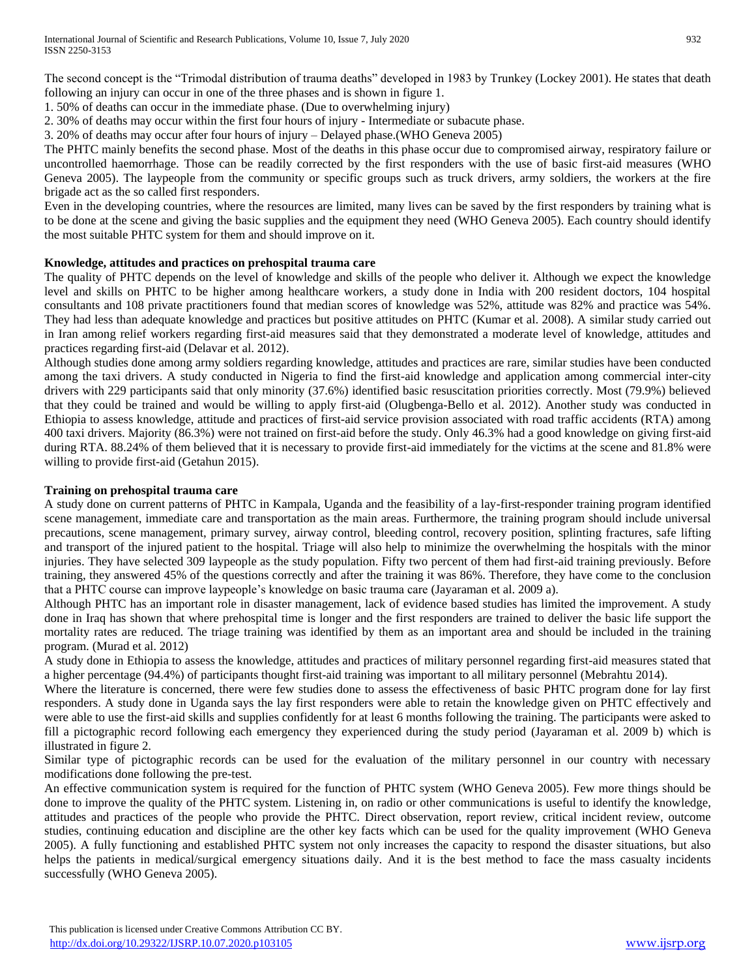The second concept is the "Trimodal distribution of trauma deaths" developed in 1983 by Trunkey (Lockey 2001). He states that death following an injury can occur in one of the three phases and is shown in figure 1.

- 1. 50% of deaths can occur in the immediate phase. (Due to overwhelming injury)
- 2. 30% of deaths may occur within the first four hours of injury Intermediate or subacute phase.
- 3. 20% of deaths may occur after four hours of injury Delayed phase.(WHO Geneva 2005)

The PHTC mainly benefits the second phase. Most of the deaths in this phase occur due to compromised airway, respiratory failure or uncontrolled haemorrhage. Those can be readily corrected by the first responders with the use of basic first-aid measures (WHO Geneva 2005). The laypeople from the community or specific groups such as truck drivers, army soldiers, the workers at the fire brigade act as the so called first responders.

Even in the developing countries, where the resources are limited, many lives can be saved by the first responders by training what is to be done at the scene and giving the basic supplies and the equipment they need (WHO Geneva 2005). Each country should identify the most suitable PHTC system for them and should improve on it.

# **Knowledge, attitudes and practices on prehospital trauma care**

The quality of PHTC depends on the level of knowledge and skills of the people who deliver it. Although we expect the knowledge level and skills on PHTC to be higher among healthcare workers, a study done in India with 200 resident doctors, 104 hospital consultants and 108 private practitioners found that median scores of knowledge was 52%, attitude was 82% and practice was 54%. They had less than adequate knowledge and practices but positive attitudes on PHTC (Kumar et al. 2008). A similar study carried out in Iran among relief workers regarding first-aid measures said that they demonstrated a moderate level of knowledge, attitudes and practices regarding first-aid (Delavar et al. 2012).

Although studies done among army soldiers regarding knowledge, attitudes and practices are rare, similar studies have been conducted among the taxi drivers. A study conducted in Nigeria to find the first-aid knowledge and application among commercial inter-city drivers with 229 participants said that only minority (37.6%) identified basic resuscitation priorities correctly. Most (79.9%) believed that they could be trained and would be willing to apply first-aid (Olugbenga-Bello et al. 2012). Another study was conducted in Ethiopia to assess knowledge, attitude and practices of first-aid service provision associated with road traffic accidents (RTA) among 400 taxi drivers. Majority (86.3%) were not trained on first-aid before the study. Only 46.3% had a good knowledge on giving first-aid during RTA. 88.24% of them believed that it is necessary to provide first-aid immediately for the victims at the scene and 81.8% were willing to provide first-aid (Getahun 2015).

#### **Training on prehospital trauma care**

A study done on current patterns of PHTC in Kampala, Uganda and the feasibility of a lay-first-responder training program identified scene management, immediate care and transportation as the main areas. Furthermore, the training program should include universal precautions, scene management, primary survey, airway control, bleeding control, recovery position, splinting fractures, safe lifting and transport of the injured patient to the hospital. Triage will also help to minimize the overwhelming the hospitals with the minor injuries. They have selected 309 laypeople as the study population. Fifty two percent of them had first-aid training previously. Before training, they answered 45% of the questions correctly and after the training it was 86%. Therefore, they have come to the conclusion that a PHTC course can improve laypeople's knowledge on basic trauma care (Jayaraman et al. 2009 a).

Although PHTC has an important role in disaster management, lack of evidence based studies has limited the improvement. A study done in Iraq has shown that where prehospital time is longer and the first responders are trained to deliver the basic life support the mortality rates are reduced. The triage training was identified by them as an important area and should be included in the training program. (Murad et al. 2012)

A study done in Ethiopia to assess the knowledge, attitudes and practices of military personnel regarding first-aid measures stated that a higher percentage (94.4%) of participants thought first-aid training was important to all military personnel (Mebrahtu 2014).

Where the literature is concerned, there were few studies done to assess the effectiveness of basic PHTC program done for lay first responders. A study done in Uganda says the lay first responders were able to retain the knowledge given on PHTC effectively and were able to use the first-aid skills and supplies confidently for at least 6 months following the training. The participants were asked to fill a pictographic record following each emergency they experienced during the study period (Jayaraman et al. 2009 b) which is illustrated in figure 2.

Similar type of pictographic records can be used for the evaluation of the military personnel in our country with necessary modifications done following the pre-test.

An effective communication system is required for the function of PHTC system (WHO Geneva 2005). Few more things should be done to improve the quality of the PHTC system. Listening in, on radio or other communications is useful to identify the knowledge, attitudes and practices of the people who provide the PHTC. Direct observation, report review, critical incident review, outcome studies, continuing education and discipline are the other key facts which can be used for the quality improvement (WHO Geneva 2005). A fully functioning and established PHTC system not only increases the capacity to respond the disaster situations, but also helps the patients in medical/surgical emergency situations daily. And it is the best method to face the mass casualty incidents successfully (WHO Geneva 2005).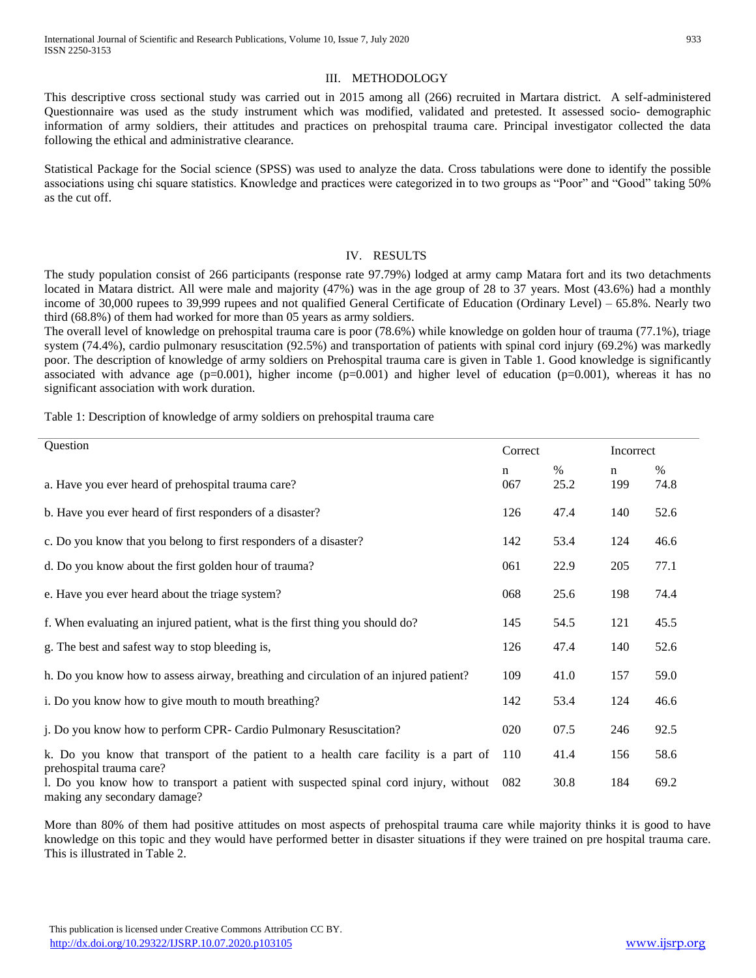#### III. METHODOLOGY

This descriptive cross sectional study was carried out in 2015 among all (266) recruited in Martara district. A self-administered Questionnaire was used as the study instrument which was modified, validated and pretested. It assessed socio- demographic information of army soldiers, their attitudes and practices on prehospital trauma care. Principal investigator collected the data following the ethical and administrative clearance.

Statistical Package for the Social science (SPSS) was used to analyze the data. Cross tabulations were done to identify the possible associations using chi square statistics. Knowledge and practices were categorized in to two groups as "Poor" and "Good" taking 50% as the cut off.

#### IV. RESULTS

The study population consist of 266 participants (response rate 97.79%) lodged at army camp Matara fort and its two detachments located in Matara district. All were male and majority (47%) was in the age group of 28 to 37 years. Most (43.6%) had a monthly income of 30,000 rupees to 39,999 rupees and not qualified General Certificate of Education (Ordinary Level) – 65.8%. Nearly two third (68.8%) of them had worked for more than 05 years as army soldiers.

The overall level of knowledge on prehospital trauma care is poor (78.6%) while knowledge on golden hour of trauma (77.1%), triage system (74.4%), cardio pulmonary resuscitation (92.5%) and transportation of patients with spinal cord injury (69.2%) was markedly poor. The description of knowledge of army soldiers on Prehospital trauma care is given in Table 1. Good knowledge is significantly associated with advance age  $(p=0.001)$ , higher income  $(p=0.001)$  and higher level of education  $(p=0.001)$ , whereas it has no significant association with work duration.

Table 1: Description of knowledge of army soldiers on prehospital trauma care

| Question                                                                                                             | Correct  |              | Incorrect          |              |
|----------------------------------------------------------------------------------------------------------------------|----------|--------------|--------------------|--------------|
| a. Have you ever heard of prehospital trauma care?                                                                   | n<br>067 | $\%$<br>25.2 | $\mathbf n$<br>199 | $\%$<br>74.8 |
| b. Have you ever heard of first responders of a disaster?                                                            | 126      | 47.4         | 140                | 52.6         |
| c. Do you know that you belong to first responders of a disaster?                                                    | 142      | 53.4         | 124                | 46.6         |
| d. Do you know about the first golden hour of trauma?                                                                | 061      | 22.9         | 205                | 77.1         |
| e. Have you ever heard about the triage system?                                                                      | 068      | 25.6         | 198                | 74.4         |
| f. When evaluating an injured patient, what is the first thing you should do?                                        | 145      | 54.5         | 121                | 45.5         |
| g. The best and safest way to stop bleeding is,                                                                      | 126      | 47.4         | 140                | 52.6         |
| h. Do you know how to assess airway, breathing and circulation of an injured patient?                                | 109      | 41.0         | 157                | 59.0         |
| i. Do you know how to give mouth to mouth breathing?                                                                 | 142      | 53.4         | 124                | 46.6         |
| j. Do you know how to perform CPR- Cardio Pulmonary Resuscitation?                                                   | 020      | 07.5         | 246                | 92.5         |
| k. Do you know that transport of the patient to a health care facility is a part of<br>prehospital trauma care?      | 110      | 41.4         | 156                | 58.6         |
| 1. Do you know how to transport a patient with suspected spinal cord injury, without<br>making any secondary damage? | 082      | 30.8         | 184                | 69.2         |

More than 80% of them had positive attitudes on most aspects of prehospital trauma care while majority thinks it is good to have knowledge on this topic and they would have performed better in disaster situations if they were trained on pre hospital trauma care. This is illustrated in Table 2.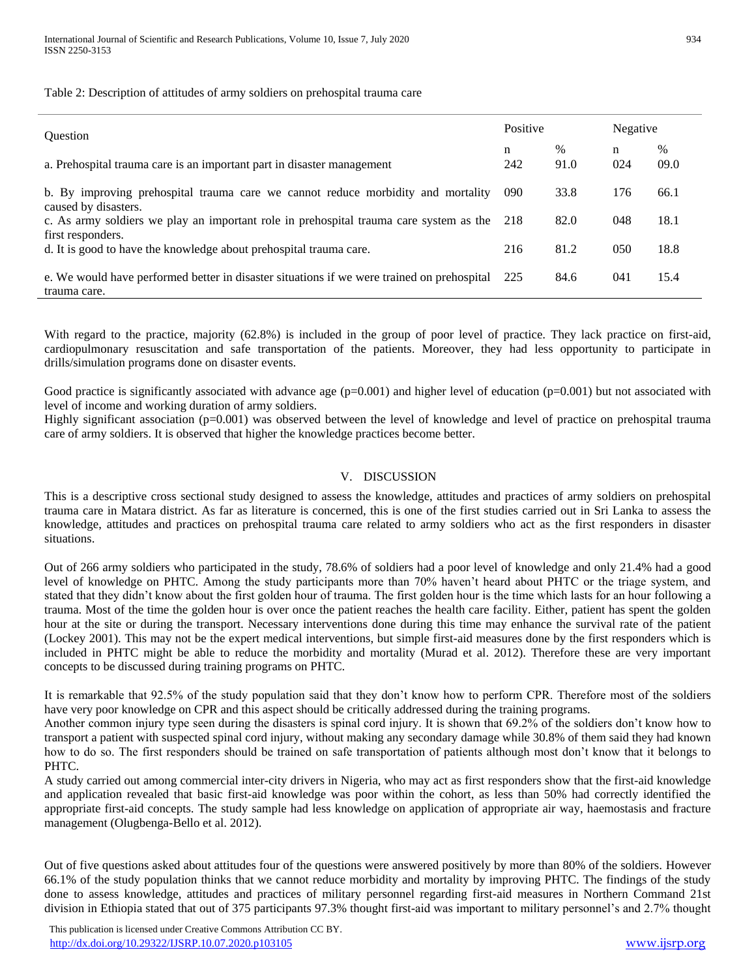Table 2: Description of attitudes of army soldiers on prehospital trauma care

| <b>Ouestion</b><br>a. Prehospital trauma care is an important part in disaster management                   | Positive |              | Negative |              |
|-------------------------------------------------------------------------------------------------------------|----------|--------------|----------|--------------|
|                                                                                                             | n<br>242 | $\%$<br>91.0 | n<br>024 | $\%$<br>09.0 |
| b. By improving prehospital trauma care we cannot reduce morbidity and mortality<br>caused by disasters.    | 090      | 33.8         | 176      | 66.1         |
| c. As army soldiers we play an important role in prehospital trauma care system as the<br>first responders. | 218      | 82.0         | 048      | 18.1         |
| d. It is good to have the knowledge about prehospital trauma care.                                          | 216      | 81.2         | 050      | 18.8         |
| e. We would have performed better in disaster situations if we were trained on prehospital<br>trauma care.  | 225      | 84.6         | 041      | 15.4         |

With regard to the practice, majority (62.8%) is included in the group of poor level of practice. They lack practice on first-aid, cardiopulmonary resuscitation and safe transportation of the patients. Moreover, they had less opportunity to participate in drills/simulation programs done on disaster events.

Good practice is significantly associated with advance age  $(p=0.001)$  and higher level of education  $(p=0.001)$  but not associated with level of income and working duration of army soldiers.

Highly significant association (p=0.001) was observed between the level of knowledge and level of practice on prehospital trauma care of army soldiers. It is observed that higher the knowledge practices become better.

#### V. DISCUSSION

This is a descriptive cross sectional study designed to assess the knowledge, attitudes and practices of army soldiers on prehospital trauma care in Matara district. As far as literature is concerned, this is one of the first studies carried out in Sri Lanka to assess the knowledge, attitudes and practices on prehospital trauma care related to army soldiers who act as the first responders in disaster situations.

Out of 266 army soldiers who participated in the study, 78.6% of soldiers had a poor level of knowledge and only 21.4% had a good level of knowledge on PHTC. Among the study participants more than 70% haven't heard about PHTC or the triage system, and stated that they didn't know about the first golden hour of trauma. The first golden hour is the time which lasts for an hour following a trauma. Most of the time the golden hour is over once the patient reaches the health care facility. Either, patient has spent the golden hour at the site or during the transport. Necessary interventions done during this time may enhance the survival rate of the patient (Lockey 2001). This may not be the expert medical interventions, but simple first-aid measures done by the first responders which is included in PHTC might be able to reduce the morbidity and mortality (Murad et al. 2012). Therefore these are very important concepts to be discussed during training programs on PHTC.

It is remarkable that 92.5% of the study population said that they don't know how to perform CPR. Therefore most of the soldiers have very poor knowledge on CPR and this aspect should be critically addressed during the training programs.

Another common injury type seen during the disasters is spinal cord injury. It is shown that 69.2% of the soldiers don't know how to transport a patient with suspected spinal cord injury, without making any secondary damage while 30.8% of them said they had known how to do so. The first responders should be trained on safe transportation of patients although most don't know that it belongs to PHTC.

A study carried out among commercial inter-city drivers in Nigeria, who may act as first responders show that the first-aid knowledge and application revealed that basic first-aid knowledge was poor within the cohort, as less than 50% had correctly identified the appropriate first-aid concepts. The study sample had less knowledge on application of appropriate air way, haemostasis and fracture management (Olugbenga-Bello et al. 2012).

Out of five questions asked about attitudes four of the questions were answered positively by more than 80% of the soldiers. However 66.1% of the study population thinks that we cannot reduce morbidity and mortality by improving PHTC. The findings of the study done to assess knowledge, attitudes and practices of military personnel regarding first-aid measures in Northern Command 21st division in Ethiopia stated that out of 375 participants 97.3% thought first-aid was important to military personnel's and 2.7% thought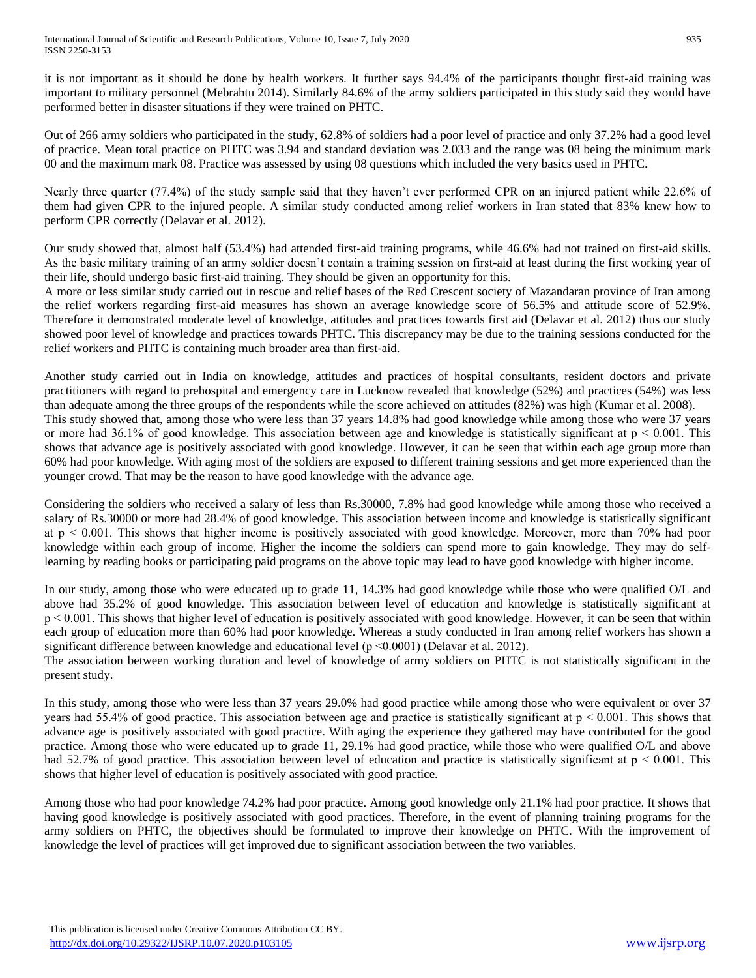it is not important as it should be done by health workers. It further says 94.4% of the participants thought first-aid training was important to military personnel (Mebrahtu 2014). Similarly 84.6% of the army soldiers participated in this study said they would have performed better in disaster situations if they were trained on PHTC.

Out of 266 army soldiers who participated in the study, 62.8% of soldiers had a poor level of practice and only 37.2% had a good level of practice. Mean total practice on PHTC was 3.94 and standard deviation was 2.033 and the range was 08 being the minimum mark 00 and the maximum mark 08. Practice was assessed by using 08 questions which included the very basics used in PHTC.

Nearly three quarter (77.4%) of the study sample said that they haven't ever performed CPR on an injured patient while 22.6% of them had given CPR to the injured people. A similar study conducted among relief workers in Iran stated that 83% knew how to perform CPR correctly (Delavar et al. 2012).

Our study showed that, almost half (53.4%) had attended first-aid training programs, while 46.6% had not trained on first-aid skills. As the basic military training of an army soldier doesn't contain a training session on first-aid at least during the first working year of their life, should undergo basic first-aid training. They should be given an opportunity for this.

A more or less similar study carried out in rescue and relief bases of the Red Crescent society of Mazandaran province of Iran among the relief workers regarding first-aid measures has shown an average knowledge score of 56.5% and attitude score of 52.9%. Therefore it demonstrated moderate level of knowledge, attitudes and practices towards first aid (Delavar et al. 2012) thus our study showed poor level of knowledge and practices towards PHTC. This discrepancy may be due to the training sessions conducted for the relief workers and PHTC is containing much broader area than first-aid.

Another study carried out in India on knowledge, attitudes and practices of hospital consultants, resident doctors and private practitioners with regard to prehospital and emergency care in Lucknow revealed that knowledge (52%) and practices (54%) was less than adequate among the three groups of the respondents while the score achieved on attitudes (82%) was high (Kumar et al. 2008). This study showed that, among those who were less than 37 years 14.8% had good knowledge while among those who were 37 years or more had 36.1% of good knowledge. This association between age and knowledge is statistically significant at  $p < 0.001$ . This shows that advance age is positively associated with good knowledge. However, it can be seen that within each age group more than 60% had poor knowledge. With aging most of the soldiers are exposed to different training sessions and get more experienced than the younger crowd. That may be the reason to have good knowledge with the advance age.

Considering the soldiers who received a salary of less than Rs.30000, 7.8% had good knowledge while among those who received a salary of Rs.30000 or more had 28.4% of good knowledge. This association between income and knowledge is statistically significant at p ˂ 0.001. This shows that higher income is positively associated with good knowledge. Moreover, more than 70% had poor knowledge within each group of income. Higher the income the soldiers can spend more to gain knowledge. They may do selflearning by reading books or participating paid programs on the above topic may lead to have good knowledge with higher income.

In our study, among those who were educated up to grade 11, 14.3% had good knowledge while those who were qualified O/L and above had 35.2% of good knowledge. This association between level of education and knowledge is statistically significant at p ˂ 0.001. This shows that higher level of education is positively associated with good knowledge. However, it can be seen that within each group of education more than 60% had poor knowledge. Whereas a study conducted in Iran among relief workers has shown a significant difference between knowledge and educational level ( $p \le 0.0001$ ) (Delavar et al. 2012).

The association between working duration and level of knowledge of army soldiers on PHTC is not statistically significant in the present study.

In this study, among those who were less than 37 years 29.0% had good practice while among those who were equivalent or over 37 years had 55.4% of good practice. This association between age and practice is statistically significant at  $p < 0.001$ . This shows that advance age is positively associated with good practice. With aging the experience they gathered may have contributed for the good practice. Among those who were educated up to grade 11, 29.1% had good practice, while those who were qualified O/L and above had 52.7% of good practice. This association between level of education and practice is statistically significant at  $p < 0.001$ . This shows that higher level of education is positively associated with good practice.

Among those who had poor knowledge 74.2% had poor practice. Among good knowledge only 21.1% had poor practice. It shows that having good knowledge is positively associated with good practices. Therefore, in the event of planning training programs for the army soldiers on PHTC, the objectives should be formulated to improve their knowledge on PHTC. With the improvement of knowledge the level of practices will get improved due to significant association between the two variables.